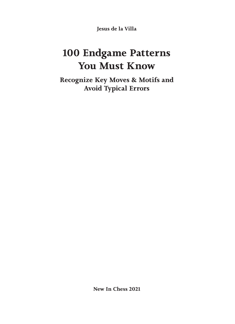**Jesus de la Villa**

# **100 Endgame Patterns You Must Know**

**Recognize Key Moves & Motifs and Avoid Typical Errors**

**New In Chess 2021**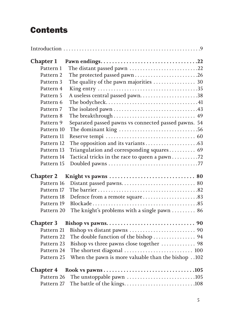# **Contents**

| <b>Chapter 1</b> |                                                                            |
|------------------|----------------------------------------------------------------------------|
| Pattern 1        | The distant passed pawn 22                                                 |
| Pattern 2        | The protected passed pawn26                                                |
| Pattern 3        | The quality of the pawn majorities $\ldots \ldots \ldots \ldots \ldots$ 30 |
| Pattern 4        |                                                                            |
| Pattern 5        | A useless central passed pawn38                                            |
| Pattern 6        |                                                                            |
| Pattern 7        |                                                                            |
| Pattern 8        |                                                                            |
| Pattern 9        | Separated passed pawns vs connected passed pawns. 54                       |
| Pattern 10       |                                                                            |
| Pattern 11       |                                                                            |
| Pattern 12       |                                                                            |
| Pattern 13       | Triangulation and corresponding squares 69                                 |
| Pattern 14       | Tactical tricks in the race to queen a pawn 72                             |
| Pattern 15       |                                                                            |
| <b>Chapter 2</b> |                                                                            |
| Pattern 16       |                                                                            |
| Pattern 17       |                                                                            |
| Pattern 18       | Defence from a remote square83                                             |
| Pattern 19       |                                                                            |
| Pattern 20       | The knight's problems with a single pawn  86                               |
| <b>Chapter 3</b> |                                                                            |
| Pattern 21       |                                                                            |
| Pattern 22       | The double function of the bishop  94                                      |
| Pattern 23       | Bishop vs three pawns close together  98                                   |
| Pattern 24       |                                                                            |
| Pattern 25       | When the pawn is more valuable than the bishop 102                         |
|                  |                                                                            |
| Pattern 26       | The unstoppable pawn 105                                                   |
| Pattern 27       |                                                                            |
|                  |                                                                            |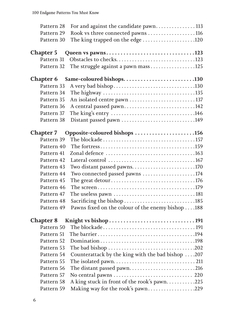| Pattern 28               | For and against the candidate pawn113                                                                    |  |
|--------------------------|----------------------------------------------------------------------------------------------------------|--|
| Pattern 29               | Rook vs three connected pawns 116                                                                        |  |
| Pattern 30               | The king trapped on the edge 120                                                                         |  |
|                          |                                                                                                          |  |
| <b>Chapter 5</b>         | Queen vs pawns123                                                                                        |  |
|                          |                                                                                                          |  |
| Pattern 32               |                                                                                                          |  |
| <b>Chapter 6</b>         | Same-coloured bishops130                                                                                 |  |
| Pattern 33               |                                                                                                          |  |
| Pattern 34               |                                                                                                          |  |
| Pattern 35               |                                                                                                          |  |
| Pattern 36               | A central passed pawn142                                                                                 |  |
| Pattern 37               |                                                                                                          |  |
| Pattern 38               | Distant passed pawn 149                                                                                  |  |
| <b>Chapter 7</b>         | Opposite-coloured bishops 156                                                                            |  |
| Pattern 39               |                                                                                                          |  |
| Pattern 40               |                                                                                                          |  |
| Pattern 41               |                                                                                                          |  |
| Pattern 42               |                                                                                                          |  |
| Pattern 43               | Two distant passed pawns170                                                                              |  |
| Pattern 44               | Two connected passed pawns 174                                                                           |  |
| Pattern 45               |                                                                                                          |  |
| Pattern 46               |                                                                                                          |  |
| Pattern 47               |                                                                                                          |  |
| Pattern 48               | Sacrificing the bishop 185                                                                               |  |
| Pattern 49               | Pawns fixed on the colour of the enemy bishop 188                                                        |  |
|                          |                                                                                                          |  |
| Pattern 50               |                                                                                                          |  |
|                          |                                                                                                          |  |
| Pattern 51               |                                                                                                          |  |
|                          |                                                                                                          |  |
| Pattern 53               | The bad bishop $\ldots \ldots \ldots \ldots \ldots \ldots \ldots \ldots \ldots \ldots \ldots \ldots 202$ |  |
| Pattern 54<br>Pattern 55 | Counterattack by the king with the bad bishop 207                                                        |  |
|                          |                                                                                                          |  |
| Pattern 56               | The distant passed pawn216                                                                               |  |
| Pattern 57<br>Pattern 58 |                                                                                                          |  |
|                          | A king stuck in front of the rook's pawn225                                                              |  |
| Pattern 59               | Making way for the rook's pawn229                                                                        |  |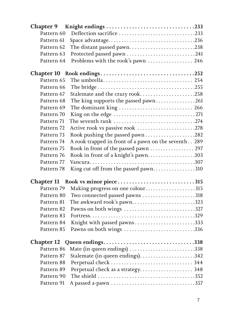| Pattern 60 | Deflection sacrifice 233                             |  |
|------------|------------------------------------------------------|--|
| Pattern 61 | Space advantage236                                   |  |
| Pattern 62 | The distant passed pawn238                           |  |
| Pattern 63 | Protected passed pawn 241                            |  |
| Pattern 64 | Problems with the rook's pawn  246                   |  |
|            |                                                      |  |
| Pattern 65 |                                                      |  |
| Pattern 66 |                                                      |  |
| Pattern 67 | Stalemate and the crazy rook258                      |  |
| Pattern 68 | The king supports the passed pawn261                 |  |
| Pattern 69 | The dominant king  266                               |  |
| Pattern 70 |                                                      |  |
| Pattern 71 | The seventh rank 274                                 |  |
| Pattern 72 | Active rook vs passive rook 278                      |  |
| Pattern 73 |                                                      |  |
| Pattern 74 | A rook trapped in front of a pawn on the seventh 289 |  |
| Pattern 75 | Rook in front of the passed pawn  297                |  |
| Pattern 76 | Rook in front of a knight's pawn303                  |  |
| Pattern 77 |                                                      |  |
| Pattern 78 | King cut off from the passed pawn310                 |  |
|            | Chapter 11 Rook vs minor piece315                    |  |
| Pattern 79 | Making progress on one colour315                     |  |
| Pattern 80 | Two connected passed pawns 318                       |  |
| Pattern 81 | The awkward rook's pawn323                           |  |
| Pattern 82 | Pawns on both wings 327                              |  |
| Pattern 83 |                                                      |  |
| Pattern 84 | Knight with passed pawns333                          |  |
| Pattern 85 | Pawns on both wings 336                              |  |
|            | Chapter 12 Queen endings338                          |  |
| Pattern 86 | Mate (in queen endings) 338                          |  |
| Pattern 87 |                                                      |  |
| Pattern 88 |                                                      |  |
| Pattern 89 | Perpetual check as a strategy 348                    |  |
| Pattern 90 |                                                      |  |
| Pattern 91 |                                                      |  |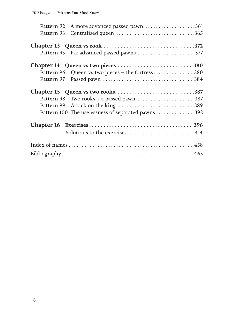| Pattern 92 A more advanced passed pawn 361         |
|----------------------------------------------------|
|                                                    |
|                                                    |
| Pattern 95 Far advanced passed pawns 377           |
|                                                    |
| Pattern 96 Queen vs two pieces - the fortress 380  |
|                                                    |
| Chapter 15 Queen vs two rooks387                   |
|                                                    |
|                                                    |
| Pattern 100 The uselessness of separated pawns 392 |
|                                                    |
| Solutions to the exercises414                      |
|                                                    |
|                                                    |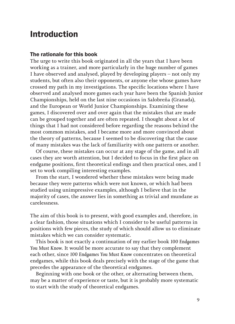# **Introduction**

#### The rationale for this book

The urge to write this book originated in all the years that I have been working as a trainer, and more particularly in the huge number of games I have observed and analysed, played by developing players – not only my students, but often also their opponents, or anyone else whose games have crossed my path in my investigations. The specific locations where I have observed and analysed more games each year have been the Spanish Junior Championships, held on the last nine occasions in Salobreña (Granada), and the European or World Junior Championships. Examining these games, I discovered over and over again that the mistakes that are made can be grouped together and are often repeated. I thought about a lot of things that I had not considered before regarding the reasons behind the most common mistakes, and I became more and more convinced about the theory of patterns, because I seemed to be discovering that the cause of many mistakes was the lack of familiarity with one pattern or another.

Of course, these mistakes can occur at any stage of the game, and in all cases they are worth attention, but I decided to focus in the first place on endgame positions, first theoretical endings and then practical ones, and I set to work compiling interesting examples.

From the start, I wondered whether these mistakes were being made because they were patterns which were not known, or which had been studied using unimpressive examples, although I believe that in the majority of cases, the answer lies in something as trivial and mundane as carelessness.

The aim of this book is to present, with good examples and, therefore, in a clear fashion, those situations which I consider to be useful patterns in positions with few pieces, the study of which should allow us to eliminate mistakes which we can consider systematic.

This book is not exactly a continuation of my earlier book *100 Endgames You Must Know*. It would be more accurate to say that they complement each other, since *100 Endgames You Must Know* concentrates on theoretical endgames, while this book deals precisely with the stage of the game that precedes the appearance of the theoretical endgames.

Beginning with one book or the other, or alternating between them, may be a matter of experience or taste, but it is probably more systematic to start with the study of theoretical endgames.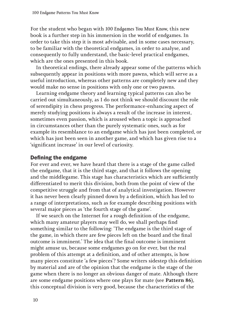For the student who began with *100 Endgames You Must Know*, this new book is a further step in his immersion in the world of endgames. In order to take this step it is most advisable, and in some cases necessary, to be familiar with the theoretical endgames, in order to analyse, and consequently to fully understand, the basic-level practical endgames, which are the ones presented in this book.

In theoretical endings, there already appear some of the patterns which subsequently appear in positions with more pawns, which will serve as a useful introduction, whereas other patterns are completely new and they would make no sense in positions with only one or two pawns.

Learning endgame theory and learning typical patterns can also be carried out simultaneously, as I do not think we should discount the role of serendipity in chess progress. The performance-enhancing aspect of merely studying positions is always a result of the increase in interest, sometimes even passion, which is aroused when a topic is approached in circumstances other than the purely systematic ones, such as for example its resemblance to an endgame which has just been completed, or which has just been seen in another game, and which has given rise to a 'significant increase' in our level of curiosity.

#### Defining the endgame

For ever and ever, we have heard that there is a stage of the game called the endgame, that it is the third stage, and that it follows the opening and the middlegame. This stage has characteristics which are sufficiently differentiated to merit this division, both from the point of view of the competitive struggle and from that of analytical investigation. However it has never been clearly pinned down by a definition, which has led to a range of interpretations, such as for example describing positions with several major pieces as 'the fourth stage of the game'.

If we search on the Internet for a rough definition of the endgame, which many amateur players may well do, we shall perhaps find something similar to the following: 'The endgame is the third stage of the game, in which there are few pieces left on the board and the final outcome is imminent.' The idea that the final outcome is imminent might amuse us, because some endgames go on for ever, but the real problem of this attempt at a definition, and of other attempts, is how many pieces constitute 'a few pieces'? Some writers sidestep this definition by material and are of the opinion that the endgame is the stage of the game when there is no longer an obvious danger of mate. Although there are some endgame positions where one plays for mate (see **Pattern 86**), this conceptual division is very good, because the characteristics of the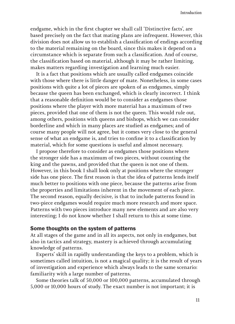endgame, which in the first chapter we shall call 'Distinctive facts', are based precisely on the fact that mating plans are infrequent. However, this division does not allow us to establish a classification of endings according to the material remaining on the board, since this makes it depend on a circumstance which is separate from such a classification. And of course, the classification based on material, although it may be rather limiting, makes matters regarding investigation and learning much easier.

It is a fact that positions which are usually called endgames coincide with those where there is little danger of mate. Nonetheless, in some cases positions with quite a lot of pieces are spoken of as endgames, simply because the queen has been exchanged, which is clearly incorrect. I think that a reasonable definition would be to consider as endgames those positions where the player with more material has a maximum of two pieces, provided that one of them is not the queen. This would rule out, among others, positions with queens and bishops, which we can consider borderline and which in many places are studied as endgames; and of course many people will not agree, but it comes very close to the general sense of what an endgame is, and tries to confine it to a classification by material, which for some questions is useful and almost necessary.

I propose therefore to consider as endgames those positions where the stronger side has a maximum of two pieces, without counting the king and the pawns, and provided that the queen is not one of them. However, in this book I shall look only at positions where the stronger side has one piece. The first reason is that the idea of patterns lends itself much better to positions with one piece, because the patterns arise from the properties and limitations inherent in the movement of each piece. The second reason, equally decisive, is that to include patterns found in two-piece endgames would require much more research and more space. Patterns with two pieces introduce many new elements and are also very interesting; I do not know whether I shall return to this at some time.

#### Some thoughts on the system of patterns

At all stages of the game and in all its aspects, not only in endgames, but also in tactics and strategy, mastery is achieved through accumulating knowledge of patterns.

Experts' skill in rapidly understanding the keys to a problem, which is sometimes called intuition, is not a magical quality; it is the result of years of investigation and experience which always leads to the same scenario: familiarity with a large number of patterns.

Some theories talk of 50,000 or 100,000 patterns, accumulated through 5,000 or 10,000 hours of study. The exact number is not important; it is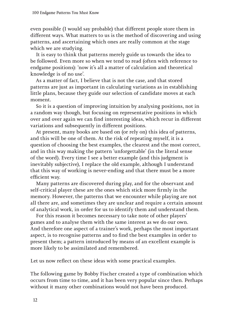even possible (I would say probable) that different people store them in different ways. What matters to us is the method of discovering and using patterns, and ascertaining which ones are really common at the stage which we are studying.

It is easy to think that patterns merely guide us towards the idea to be followed. Even more so when we tend to read (often with reference to endgame positions): 'now it's all a matter of calculation and theoretical knowledge is of no use'.

As a matter of fact, I believe that is not the case, and that stored patterns are just as important in calculating variations as in establishing little plans, because they guide our selection of candidate moves at each moment.

So it is a question of improving intuition by analysing positions, not in a random way though, but focusing on representative positions in which over and over again we can find interesting ideas, which recur in different variations and subsequently in different positions.

At present, many books are based on (or rely on) this idea of patterns, and this will be one of them. At the risk of repeating myself, it is a question of choosing the best examples, the clearest and the most correct, and in this way making the pattern 'unforgettable' (in the literal sense of the word). Every time I see a better example (and this judgment is inevitably subjective), I replace the old example, although I understand that this way of working is never-ending and that there must be a more efficient way.

Many patterns are discovered during play, and for the observant and self-critical player these are the ones which stick more firmly in the memory. However, the patterns that we encounter while playing are not all there are, and sometimes they are unclear and require a certain amount of analytical work, in order for us to identify them and understand them.

For this reason it becomes necessary to take note of other players' games and to analyse them with the same interest as we do our own. And therefore one aspect of a trainer's work, perhaps the most important aspect, is to recognise patterns and to find the best examples in order to present them; a pattern introduced by means of an excellent example is more likely to be assimilated and remembered.

Let us now reflect on these ideas with some practical examples.

The following game by Bobby Fischer created a type of combination which occurs from time to time, and it has been very popular since then. Perhaps without it many other combinations would not have been produced.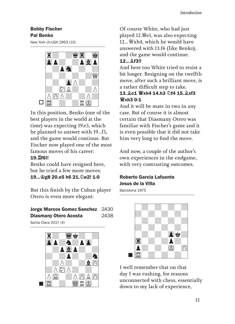### Bobby Fischer Pal Benko

New York ch-USA 1963 (10)



In this position, Benko (one of the best players in the world at the time) was expecting 19.e5, which he planned to answer with 19...f5, and the game would continue. But Fischer now played one of the most famous moves of his career: 19.♖f6!!

Benko could have resigned here, but he tried a few more moves: 19...♔g8 20.e5 h6 21.♘e2! 1-0

But this finish by the Cuban player Otero is even more elegant:

#### Jorge Marcos Gomez Sanchez 2430 Diasmany Otero Acosta 2438





Of course White, who had just played 12.♕e1, was also expecting 12... With 4, which he would have answered with 13.f4 (like Benko), and the game would continue. 12...♗f3!!

And here too White tried to resist a bit longer. Resigning on the twelfth move, after such a brilliant move, is a rather difficult step to take. 13.♗c1 ♕xh4 14.h3 ♘f4 15.♗xf3 **W**xh3 0-1

And it will be mate in two in any case. But of course it is almost certain that Diasmany Otero was familiar with Fischer's game and it is even possible that it did not take him very long to find the move.

And now, a couple of the author's own experiences in the endgame, with very contrasting outcomes.

### Roberto Garcia Lafuente Jesus de la Villa

Barcelona 1975



I well remember that on that day I was rushing, for reasons unconnected with chess, essentially down to my lack of experience,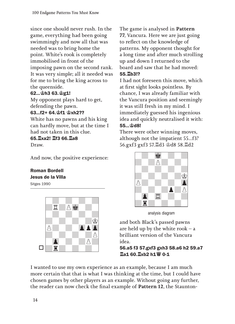since one should never rush. In the game, everything had been going swimmingly and now all that was needed was to bring home the point. White's rook is completely immobilised in front of the imposing pawn on the second rank. It was very simple; all it needed was for me to bring the king across to the queenside.

### 62...♔h3 63.♔g1!

My opponent plays hard to get, defending the pawn.

### 63...f2+ 64.♔f1 ♔xh2??

White has no pawns and his king can hardly move, but at the time I had not taken in this clue. 65.♖xa2! ♖f3 66.♖a8 Draw.

And now, the positive experience:

# Roman Bordell Jesus de la Villa

Sitges 1990



The game is analysed in **Pattern 77**, Vancura. Here we are just going to reflect on the knowledge of patterns. My opponent thought for a long time and after much strolling up and down I returned to the board and saw that he had moved: 55.♖b3!?

I had not foreseen this move, which at first sight looks pointless. By chance, I was already familiar with the Vancura position and seemingly it was still fresh in my mind. I immediately guessed his ingenious idea and quickly neutralised it with: 55...♔d8!

There were other winning moves, although not the impatient 55...f3? 56.gxf3 gxf3 57.♖d3 ♔d8 58.♖d2



analysis diagram

and both Black's passed pawns are held up by the white rook  $-$  a brilliant version of the Vancura idea.

56.a5 f3 57.gxf3 gxh3 58.a6 h2 59.a7 ♖a1 60.♖xb2 h1♕ 0-1

I wanted to use my own experience as an example, because I am much more certain that that is what I was thinking at the time, but I could have chosen games by other players as an example. Without going any further, the reader can now check the final example of **Pattern 12**, the Staunton-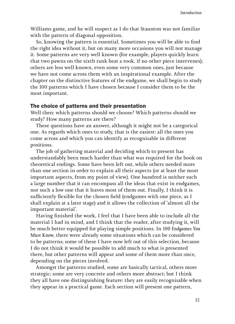Williams game, and he will suspect as I do that Staunton was not familiar with the pattern of diagonal opposition.

So, knowing the pattern is essential. Sometimes you will be able to find the right idea without it, but on many more occasions you will not manage it. Some patterns are very well known (for example, players quickly learn that two pawns on the sixth rank beat a rook, if no other piece intervenes); others are less well known, even some very common ones, just because we have not come across them with an inspirational example. After the chapter on the distinctive features of the endgame, we shall begin to study the 100 patterns which I have chosen because I consider them to be the most important.

#### The choice of patterns and their presentation

Well then: which patterns should we choose? Which patterns should we study? How many patterns are there?

These questions have an answer, although it might not be a categorical one. As regards which ones to study, that is the easiest: all the ones you come across and which you can identify as recognisable in different positions.

The job of gathering material and deciding which to present has understandably been much harder than what was required for the book on theoretical endings. Some have been left out, while others needed more than one section in order to explain all their aspects (or at least the most important aspects, from my point of view). One hundred is neither such a large number that it can encompass all the ideas that exist in endgames, nor such a low one that it leaves most of them out. Finally, I think it is sufficiently flexible for the chosen field (endgames with one piece, as I shall explain at a later stage) and it allows the collection of 'almost all the important material'.

Having finished the work, I feel that I have been able to include all the material I had in mind, and I think that the reader, after studying it, will be much better equipped for playing simple positions. In *100 Endgames You Must Know*, there were already some situations which can be considered to be patterns; some of these I have now left out of this selection, because I do not think it would be possible to add much to what is presented there, but other patterns will appear and some of them more than once, depending on the pieces involved.

Amongst the patterns studied, some are basically tactical, others more strategic; some are very concrete and others more abstract; but I think they all have one distinguishing feature: they are easily recognisable when they appear in a practical game. Each section will present one pattern,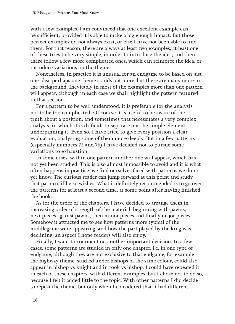with a few examples. I am convinced that one excellent example can be sufficient, provided it is able to make a big enough impact. But those perfect examples do not always exist, or else I have not been able to find them. For that reason, there are always at least two examples; at least one of these tries to be very simple, in order to introduce the idea, and then there follow a few more complicated ones, which can reinforce the idea, or introduce variations on the theme.

Nonetheless, in practice it is unusual for an endgame to be based on just one idea; perhaps one theme stands out more, but there are many more in the background. Inevitably in most of the examples more than one pattern will appear, although in each case we shall highlight the pattern featured in that section.

For a pattern to be well understood, it is preferable for the analysis not to be too complicated. Of course it is useful to be aware of the truth about a position, and sometimes that necessitates a very complex analysis, in which it is difficult to separate out the simple elements underpinning it. Even so, I have tried to give every position a clear evaluation, analysing some of them more deeply. But in a few patterns (especially numbers 75 and 76) I have decided not to pursue some variations to exhaustion.

In some cases, within one pattern another one will appear, which has not yet been studied. This is also almost impossible to avoid and it is what often happens in practice: we find ourselves faced with patterns we do not yet know. The curious reader can jump forward at this point and study that pattern, if he so wishes. What is definitely recommended is to go over the patterns for at least a second time, at some point after having finished the book.

As for the order of the chapters, I have decided to arrange them in increasing order of strength of the material: beginning with pawns, next pieces against pawns, then minor pieces and finally major pieces. Somehow it attracted me to see how patterns more typical of the middlegame were appearing, and how the part played by the king was declining, an aspect I hope readers will also enjoy.

Finally, I want to comment on another important decision. In a few cases, some patterns are studied in only one chapter, i.e. in one type of endgame, although they are not exclusive to that endgame; for example the highway theme, studied under bishops of the same colour, could also appear in bishop vs knight and in rook vs bishop. I could have repeated it in each of these chapters, with different examples, but I chose not to do so, because I felt it added little to the topic. With other patterns I did decide to repeat the theme, but only when I considered that it had different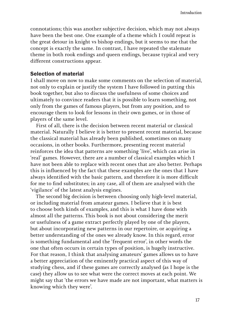connotations; this was another subjective decision, which may not always have been the best one. One example of a theme which I could repeat is the great detour in knight vs bishop endings, but it seems to me that the concept is exactly the same. In contrast, I have repeated the stalemate theme in both rook endings and queen endings, because typical and very different constructions appear.

#### Selection of material

I shall move on now to make some comments on the selection of material, not only to explain or justify the system I have followed in putting this book together, but also to discuss the usefulness of some choices and ultimately to convince readers that it is possible to learn something, not only from the games of famous players, but from any position, and to encourage them to look for lessons in their own games, or in those of players of the same level.

First of all, there is the decision between recent material or classical material. Naturally I believe it is better to present recent material, because the classical material has already been published, sometimes on many occasions, in other books. Furthermore, presenting recent material reinforces the idea that patterns are something 'live', which can arise in 'real' games. However, there are a number of classical examples which I have not been able to replace with recent ones that are also better. Perhaps this is influenced by the fact that these examples are the ones that I have always identified with the basic pattern, and therefore it is more difficult for me to find substitutes; in any case, all of them are analysed with the 'vigilance' of the latest analysis engines.

The second big decision is between choosing only high-level material, or including material from amateur games. I believe that it is best to choose both kinds of examples, and this is what I have done with almost all the patterns. This book is not about considering the merit or usefulness of a game extract perfectly played by one of the players, but about incorporating new patterns in our repertoire, or acquiring a better understanding of the ones we already know. In this regard, error is something fundamental and the 'frequent error', in other words the one that often occurs in certain types of position, is hugely instructive. For that reason, I think that analysing amateurs' games allows us to have a better appreciation of the eminently practical aspect of this way of studying chess, and if these games are correctly analysed (as I hope is the case) they allow us to see what were the correct moves at each point. We might say that 'the errors we have made are not important, what matters is knowing which they were'.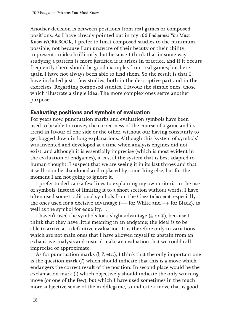Another decision is between positions from real games or composed positions. As I have already pointed out in my *100 Endgames You Must Know WORKBOOK*, I prefer to limit composed studies to the minimum possible, not because I am unaware of their beauty or their ability to present an idea brilliantly, but because I think that in some way studying a pattern is more justified if it arises in practice, and if it occurs frequently there should be good examples from real games; but here again I have not always been able to find them. So the result is that I have included just a few studies, both in the descriptive part and in the exercises. Regarding composed studies, I favour the simple ones, those which illustrate a single idea. The more complex ones serve another purpose.

#### Evaluating positions and symbols of evaluation

For years now, punctuation marks and evaluation symbols have been used to be able to convey the correctness of the course of a game and its trend in favour of one side or the other, without our having constantly to get bogged down in long explanations. Although this 'system of symbols' was invented and developed at a time when analysis engines did not exist, and although it is essentially imprecise (which is most evident in the evaluation of endgames), it is still the system that is best adapted to human thought. I suspect that we are seeing it in its last throes and that it will soon be abandoned and replaced by something else, but for the moment I am not going to ignore it.

I prefer to dedicate a few lines to explaining my own criteria in the use of symbols, instead of limiting it to a short section without words. I have often used some traditional symbols from the *Chess Informant*, especially the ones used for a decisive advantage  $($  +  $-$  for White and  $-$  + for Black), as well as the symbol for equality, =.

I haven't used the symbols for a slight advantage ( $\pm$  or  $\bar{=}$ ), because I think that they have little meaning in an endgame; the ideal is to be able to arrive at a definitive evaluation. It is therefore only in variations which are not main ones that I have allowed myself to abstain from an exhaustive analysis and instead make an evaluation that we could call imprecise or approximate.

As for punctuation marks (!, ?, etc.), I think that the only important one is the question mark (?) which should indicate that this is a move which endangers the correct result of the position. In second place would be the exclamation mark (!) which objectively should indicate the only winning move (or one of the few), but which I have used sometimes in the much more subjective sense of the middlegame, to indicate a move that is good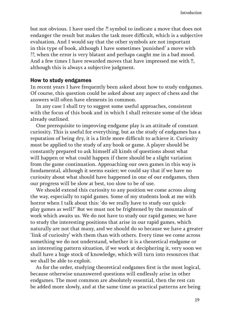but not obvious. I have used the ?! symbol to indicate a move that does not endanger the result but makes the task more difficult, which is a subjective evaluation. And I would say that the other symbols are not important in this type of book, although I have sometimes 'punished' a move with ??, when the error is very blatant and perhaps caught me in a bad mood. And a few times I have rewarded moves that have impressed me with !!, although this is always a subjective judgment.

#### How to study endgames

In recent years I have frequently been asked about how to study endgames. Of course, this question could be asked about any aspect of chess and the answers will often have elements in common.

In any case I shall try to suggest some useful approaches, consistent with the focus of this book and in which I shall reiterate some of the ideas already outlined.

One prerequisite to improving endgame play is an attitude of constant curiosity. This is useful for everything, but as the study of endgames has a reputation of being dry, it is a little more difficult to achieve it. Curiosity must be applied to the study of any book or game. A player should be constantly prepared to ask himself all kinds of questions about what will happen or what could happen if there should be a slight variation from the game continuation. Approaching our own games in this way is fundamental, although it seems easier; we could say that if we have no curiosity about what should have happened in one of our endgames, then our progress will be slow at best, too slow to be of use.

We should extend this curiosity to any position we come across along the way, especially to rapid games. Some of my students look at me with horror when I talk about this: 'do we really have to study our quickplay games as well?' But we must not be frightened by the mountain of work which awaits us. We do not have to study our rapid games; we have to study the interesting positions that arise in our rapid games, which naturally are not that many, and we should do so because we have a greater 'link of curiosity' with them than with others. Every time we come across something we do not understand, whether it is a theoretical endgame or an interesting pattern situation, if we work at deciphering it, very soon we shall have a huge stock of knowledge, which will turn into resources that we shall be able to exploit.

As for the order, studying theoretical endgames first is the most logical, because otherwise unanswered questions will endlessly arise in other endgames. The most common are absolutely essential, then the rest can be added more slowly, and at the same time as practical patterns are being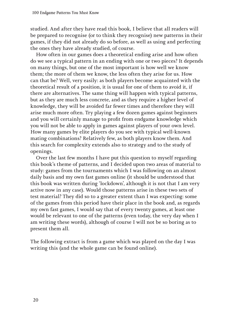studied. And after they have read this book, I believe that all readers will be prepared to recognise (or to think they recognise) new patterns in their games, if they did not already do so before, as well as using and perfecting the ones they have already studied, of course.

How often in our games does a theoretical ending arise and how often do we see a typical pattern in an ending with one or two pieces? It depends on many things, but one of the most important is how well we know them; the more of them we know, the less often they arise for us. How can that be? Well, very easily: as both players become acquainted with the theoretical result of a position, it is usual for one of them to avoid it, if there are alternatives. The same thing will happen with typical patterns, but as they are much less concrete, and as they require a higher level of knowledge, they will be avoided far fewer times and therefore they will arise much more often. Try playing a few dozen games against beginners and you will certainly manage to profit from endgame knowledge which you will not be able to apply in games against players of your own level. How many games by elite players do you see with typical well-known mating combinations? Relatively few, as both players know them. And this search for complexity extends also to strategy and to the study of openings.

Over the last few months I have put this question to myself regarding this book's theme of patterns, and I decided upon two areas of material to study: games from the tournaments which I was following on an almost daily basis and my own fast games online (it should be understood that this book was written during 'lockdown', although it is not that I am very active now in any case). Would those patterns arise in these two sets of test material? They did so to a greater extent than I was expecting: some of the games from this period have their place in the book and, as regards my own fast games, I would say that of every twenty games, at least one would be relevant to one of the patterns (even today, the very day when I am writing these words), although of course I will not be so boring as to present them all.

The following extract is from a game which was played on the day I was writing this (and the whole game can be found online).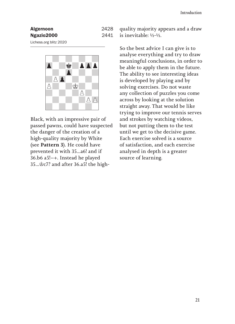| <b>Algernoon</b> | 2428 |
|------------------|------|
| Ngazio2000       | 2441 |
|                  |      |

Lichess.org blitz 2020



Black, with an impressive pair of passed pawns, could have suspected the danger of the creation of a high-quality majority by White (see **Pattern 3**). He could have prevented it with 35...a6! and if 36.b6 a5!-+. Instead he played 35...♔c7? and after 36.a5! the high-

quality majority appears and a draw is inevitable: ½-½.

So the best advice I can give is to analyse everything and try to draw meaningful conclusions, in order to be able to apply them in the future. The ability to see interesting ideas is developed by playing and by solving exercises. Do not waste any collection of puzzles you come across by looking at the solution straight away. That would be like trying to improve our tennis serves and strokes by watching videos, but not putting them to the test until we get to the decisive game. Each exercise solved is a source of satisfaction, and each exercise analysed in depth is a greater source of learning.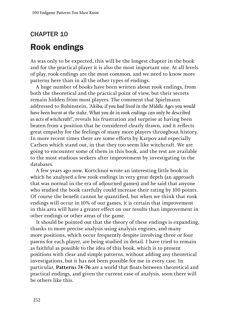# CHAPTER 10 **Rook endings**

As was only to be expected, this will be the longest chapter in the book and for the practical player it is also the most important one. At all levels of play, rook endings are the most common, and we need to know more patterns here than in all the other types of endings.

A huge number of books have been written about rook endings, from both the theoretical and the practical point of view, but their secrets remain hidden from most players. The comment that Spielmann addressed to Rubinstein, *'Akiba, if you had lived in the Middle Ages you would have been burnt at the stake. What you do in rook endings can only be described as acts of witchcraft!'*, reveals his frustration and surprise at having been beaten from a position that he considered clearly drawn, and it reflects great empathy for the feelings of many more players throughout history. In more recent times there are some efforts by Karpov and especially Carlsen which stand out, in that they too seem like witchcraft. We are going to encounter some of them in this book, and the rest are available to the most studious seekers after improvement by investigating in the databases.

A few years ago now, Kortchnoi wrote an interesting little book in which he analysed a few rook endings in very great depth (an approach that was normal in the era of adjourned games) and he said that anyone who studied the book carefully could increase their rating by 100 points. Of course the benefit cannot be quantified, but when we think that rook endings will occur in 10% of our games, it is certain that improvement in this area will have a greater effect on our results than improvement in other endings or other areas of the game.

It should be pointed out that the theory of these endings is expanding, thanks to more precise analysis using analysis engines, and many more positions, which occur frequently despite involving three or four pawns for each player, are being studied in detail. I have tried to remain as faithful as possible to the idea of this book, which is to present positions with clear and simple patterns, without adding any theoretical investigations, but it has not been possible for me in every case. In particular, **Pattern**s **74-76** are a world that floats between theoretical and practical endings, and given the current ease of analysis, soon there will be others like this.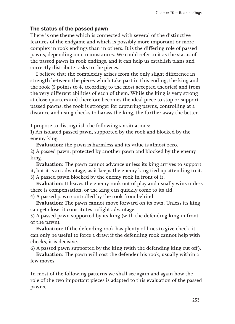#### The status of the passed pawn

There is one theme which is connected with several of the distinctive features of the endgame and which is possibly more important or more complex in rook endings than in others. It is the differing role of passed pawns, depending on circumstances. We could refer to it as the status of the passed pawn in rook endings, and it can help us establish plans and correctly distribute tasks to the pieces.

I believe that the complexity arises from the only slight difference in strength between the pieces which take part in this ending, the king and the rook (5 points to 4, according to the most accepted theories) and from the very different abilities of each of them. While the king is very strong at close quarters and therefore becomes the ideal piece to stop or support passed pawns, the rook is stronger for capturing pawns, controlling at a distance and using checks to harass the king, the further away the better.

I propose to distinguish the following *six* situations:

1) An isolated passed pawn, supported by the rook and blocked by the enemy king.

**Evaluation**: the pawn is harmless and its value is almost zero.

2) A passed pawn, protected by another pawn and blocked by the enemy king.

**Evaluation**: The pawn cannot advance unless its king arrives to support it, but it is an advantage, as it keeps the enemy king tied up attending to it.

3) A passed pawn blocked by the enemy rook in front of it.

**Evaluation**: It leaves the enemy rook out of play and usually wins unless there is compensation, or the king can quickly come to its aid.

4) A passed pawn controlled by the rook from behind.

**Evaluation**: The pawn cannot move forward on its own. Unless its king can get close, it constitutes a slight advantage.

5) A passed pawn supported by its king (with the defending king in front of the pawn).

**Evaluation**: If the defending rook has plenty of lines to give check, it can only be useful to force a draw; if the defending rook cannot help with checks, it is decisive.

6) A passed pawn supported by the king (with the defending king cut off).

**Evaluation**: The pawn will cost the defender his rook, usually within a few moves.

In most of the following patterns we shall see again and again how the role of the two important pieces is adapted to this evaluation of the passed pawns.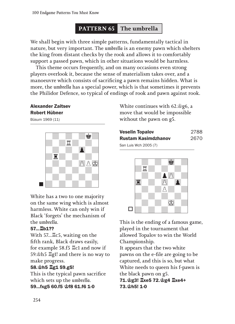# **PATTERN 65 The umbrella**

We shall begin with three simple patterns, fundamentally tactical in nature, but very important. The *umbrella* is an enemy pawn which shelters the king from distant checks by the rook and allows it to comfortably support a passed pawn, which in other situations would be harmless.

This theme occurs frequently, and on many occasions even strong players overlook it, because the sense of materialism takes over, and a manoeuvre which consists of sacrificing a pawn remains hidden. What is more, the *umbrella* has a special power, which is that sometimes it prevents the Philidor Defence, so typical of endings of rook and pawn against rook.

## Alexander Zaitsev Robert Hübner

Büsum 1969 (11)



White has a two to one majority on the same wing which is almost harmless. White can only win if Black 'forgets' the mechanism of the *umbrella*.

#### 57...♖b1??

With 57...♖c5, waiting on the fifth rank, Black draws easily, for example 58.f5 ♖c1 and now if 59.♔h5 ♖g1! and there is no way to make progress.

### 58.♔h5 ♖g1 59.g5!

This is the typical pawn sacrifice which sets up the *umbrella.* 59...fxg5 60.f5 ♔f8 61.f6 1-0

White continues with 62.♔g6, a move that would be impossible without the pawn on g5.

| <b>Veselin Topalov</b>     | 2788 |
|----------------------------|------|
| <b>Rustam Kasimdzhanov</b> | 2670 |
| San Luis Wch 2005 (7)      |      |



This is the ending of a famous game, played in the tournament that allowed Topalov to win the World Championship.

It appears that the two white pawns on the e-file are going to be captured, and this is so, but what White needs to queen his f-pawn is the black pawn on g5.

71.♔g3! ♖xe5 72.♔g4 ♖xe4+ 73.♔h5! 1-0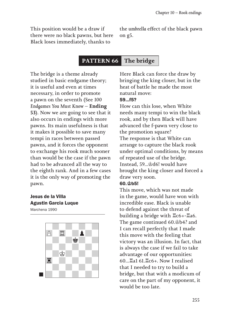This position would be a draw if there were no black pawns, but here Black loses immediately, thanks to

the *umbrella* effect of the black pawn on g5.

# **PATTERN 66 The bridge**

The bridge is a theme already studied in basic endgame theory; it is useful and even at times necessary, in order to promote a pawn on the seventh (See *100 Endgames You Must Know* – **Ending 53**). Now we are going to see that it also occurs in endings with more pawns. Its main usefulness is that it makes it possible to save many tempi in races between passed pawns, and it forces the opponent to exchange his rook much sooner than would be the case if the pawn had to be advanced all the way to the eighth rank. And in a few cases it is the only way of promoting the pawn.

# Jesus de la Villa Agustin Garcia Luque

Marchena 1990



Here Black can force the draw by bringing the king closer, but in the heat of battle he made the most natural move: 59...f5?

How can this lose, when White needs many tempi to win the black rook, and by then Black will have advanced the f-pawn very close to the promotion square? The response is that White can arrange to capture the black rook under optimal conditions, by means of repeated use of the bridge. Instead, 59...♔d6! would have brought the king closer and forced a draw very soon.

#### 60.♔b5!

This move, which was not made in the game, would have won with incredible ease. Black is unable to defend against the threat of building a bridge with ♖c6+-♖a6. The game continued 60.♔b4? and I can recall perfectly that I made this move with the feeling that victory was an illusion. In fact, that is always the case if we fail to take advantage of our opportunities: 60...♖a1 61.♖c6+. Now I realised that I needed to try to build a bridge, but that with a modicum of care on the part of my opponent, it would be too late.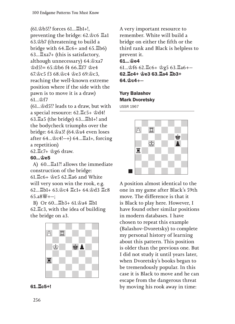*(*61.♔b5!? forces 61...♖b1+!, preventing the bridge: 62.♔c6 ♖a1 63.♔b7 (threatening to build a bridge with 64.♖c6+ and 65.♖b6) 63...♖xa7+ (this is satisfactory, although unnecessary) 64.♔xa7  $\triangleq d5! = 65. \triangleq b6.$  f4 66. $\triangleq$ f7  $\triangleq$ e4 67.♔c5 f3 68.♔c4 ♔e3 69.♔c3, reaching the well-known extreme position where if the side with the pawn is to move it is a draw*)*  61  $\&$ **f7** 

(61...♔d5!? leads to a draw, but with a special resource: 62.♖c5+ ♔d4! 63.♖a5 (the bridge) 63...♖b1+! and the bodycheck triumphs over the bridge: 64.♔a3! *(*64.♔a4 even loses after 64...♔c4!*)* 64...♖a1+, forcing a repetition)

62.♖c7+ ♔g6 draw.

#### 60...♔e5

A) 60...♖a1?! allows the immediate construction of the bridge: 61.♖c6+ ♔e5 62.♖a6 and White will very soon win the rook, e.g. 62...♖b1+ 63.♔c4 ♖c1+ 64.♔d3 ♖c8  $65.38\frac{100}{10} + -$ 

B) Or 60...♖b3+ 61.♔a4 ♖b1 62.♖c3, with the idea of building the bridge on a3.





A very important resource to remember. White will build a bridge on either the fifth or the third rank and Black is helpless to prevent it.  $61...$  $e4$ 61...♔f6 62.♖c6+ ♔g5 63.♖a6 62.♖c4+ ♔e3 63.♖a4 ♖b3+  $64.$  $oc4+-$ 

# Yury Balashov Mark Dvoretsky

USSR 1967



A position almost identical to the one in my game after Black's 59th move. The difference is that it is Black to play here. However, I have found other similar positions in modern databases. I have chosen to repeat this example (Balashov-Dvoretsky) to complete my personal history of learning about this pattern. This position is older than the previous one. But I did not study it until years later, when Dvoretsky's books began to be tremendously popular. In this case it is Black to move and he can escape from the dangerous threat by moving his rook away in time: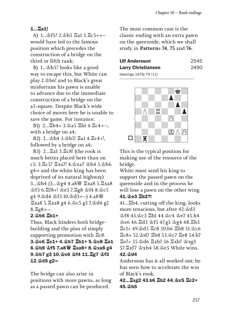## 1...♖a1!

A) 1...♔f5? 2.♔b5 ♖a1 3.♖c5+ would have led to the famous position which precedes the construction of a bridge on the third or fifth rank;

B) 1...♔h5? looks like a good way to escape this, but White can play 2.♔b6! and to Black's great misfortune his pawn is unable to advance due to the immediate construction of a bridge on the a5-square. Despite Black's wide choice of moves here he is unable to save the game. For instance:

B1) 2... ニb4+ 3. 含a5 ニb1 4. ニc4+-, with a bridge on a4;

B2) 2...♔h4 3.♔b5! ♖a1 4.♖c4+!, followed by a bridge on a4;

B3) 2...♖a1 3.♖c8! (the rook is much better placed here than on c5: 3.♖c5? ♖xa7! 4.♔xa7 ♔h4 5.♔b6  $g4$  = and the white king has been deprived of its natural highway*)*  3...♔h4 *(*3...♔g4 4.a8♕ ♖xa8 5.♖xa8 ♔f3 6.♖f8+! ♔e3 7.♖g8 ♔f4 8.♔c5 g4 9.♔d4 ♔f3 10.♔d3*)* 4.a8♕ ♖xa8 5.♖xa8 g4 6.♔c5 g3 7.♔d4 g2 8.♖g8.

# 2.♔b6 ♖b1+

Thus, Black hinders both bridgebuilding and the plan of simply supporting promotion with ♖c8. 3.♔c6 ♖c1+ 4.♔b7 ♖b1+ 5.♔c8 ♖a1 6.♔b8 ♔f5 7.a8♕ ♖xa8+ 8.♔xa8 g4 9.♔b7 g3 10.♔c6 ♔f4 11.♖g7 ♔f3  $12.\,$  $\oplus$ d5 g2=

The bridge can also arise in positions with more pawns, as long as a passed pawn can be produced.

The most common case is the classic ending with an extra pawn on the queenside, which we shall study in **Pattern**s **74**, **75** and **76**.

| <b>Ulf Andersson</b> | 2545 |
|----------------------|------|
| Larry Christiansen   | 2490 |
| . <del>.</del>       |      |

Hastings 1978/79 (11)



This is the typical position for making use of the resource of the bridge.

White must send his king to support the passed pawn on the queenside and in the process he will lose a pawn on the other wing. 41.♔e3 ♖b2?!

41...♖b4, cutting off the king, looks more tenacious, but after 42.♔d3 ♔f8 43.♔c3 ♖b1 44.♔c4 ♔e7 45.h4 ♔e6 46.♖d3 ♔f5 47.g3 ♔g4 48.♖b3 ♖c1+ 49.♔d5 ♖c8 50.b6 ♖b8 51.♔c6 ♖c8+ 52.♔d7 ♖b8 53.♔c7 ♖e8 54.b7 ♖e7+ 55.♔d6 ♖xb7 56.♖xb7 ♔xg3 57.♖xf7 ♔xh4 58.♔e5 White wins. 42.♔d4

Andersson has it all worked out; he has seen how to accelerate the win of Black's rook.

42...♖xg2 43.b6 ♖b2 44.♔c5 ♖c2+ 45.♔b5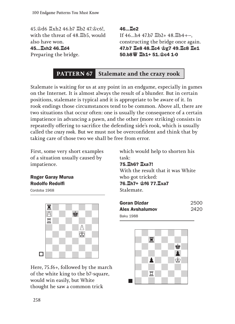45.♔d6 ♖xh2 46.b7 ♖b2 47.♔c6!, with the threat of 48.♖b5, would also have won. 45...♖xh2 46.♖d4 Preparing the bridge.

46...♖e2 If 46...h4 47.b7 国b2+ 48.国b4+-, constructing the bridge once again. 47.b7 ♖e8 48.♖c4 ♔g7 49.♖c8 ♖e1 50.b8♕ ♖b1+ 51.♔c4 1-0

# **PATTERN 67 Stalemate and the crazy rook**

Stalemate is waiting for us at any point in an endgame, especially in games on the Internet. It is almost always the result of a blunder. But in certain positions, stalemate is typical and it is appropriate to be aware of it. In rook endings those circumstances tend to be common. Above all, there are two situations that occur often: one is usually the consequence of a certain impatience in advancing a pawn, and the other (more striking) consists in repeatedly offering to sacrifice the defending side's rook, which is usually called the *crazy rook*. But we must not be overconfident and think that by taking care of those two we shall be free from error.

First, some very short examples of a situation usually caused by impatience.

## Roger Garay Murua Rodolfo Redolfi

Cordoba 1968



Here, 75.f6+, followed by the march of the white king to the b7-square, would win easily, but White thought he saw a common trick

which would help to shorten his task: 75.♖h6? ♖xa7! With the result that it was White who got tricked: 76.♖h7+ ♔f6 77.♖xa7 Stalemate.

| Goran Dizdar    | 2500 |
|-----------------|------|
| Alex Avshalumov | 2420 |
| Baku 1988       |      |

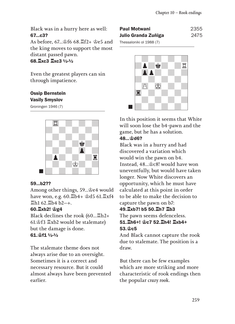Black was in a hurry here as well: 67...c3?

As before, 67...♔f6 68.♖f2+ ♔e5 and the king moves to support the most distant passed pawn. 68.♖xc3 ♖xc3 ½-½

Even the greatest players can sin through impatience.

#### Ossip Bernstein Vasily Smyslov

Groningen 1946 (7)



#### 59...b2??

Among other things, 59...♔e4 would have won, e.g. 60.♖b4+ ♔d5 61.♖xf4  $\Xi$ h1 62. $\Xi$ b4 b2-+.

### 60.♖xb2! ♔g4

Black declines the rook (60...♖h2+ 61.♔f3 ♖xb2 would be stalemate) but the damage is done. 61.♔f1 ½-½

The stalemate theme does not always arise due to an oversight. Sometimes it is a correct and necessary resource. But it could almost always have been prevented earlier.

| Paul Motwani             | 2355 |
|--------------------------|------|
| Julio Granda Zuñiga      | 2475 |
| Thessaloniki ol 1988 (7) |      |



In this position it seems that White will soon lose the b4-pawn and the game, but he has a solution.

### 48. ይከፍ?

Black was in a hurry and had discovered a variation which would win the pawn on b4. Instead, 48...♔c8! would have won uneventfully, but would have taken longer. Now White discovers an opportunity, which he must have calculated at this point in order to be able to make the decision to capture the pawn on b7:

#### 49.♖xb7! b5 50.♖h7 ♖b3

The pawn seems defenceless. 51.♖h6+! ♔c7 52.♖h4! ♖xb4+ 53.♔c5

And Black cannot capture the rook due to stalemate. The position is a draw.

But there can be few examples which are more striking and more characteristic of rook endings then the popular *crazy rook*.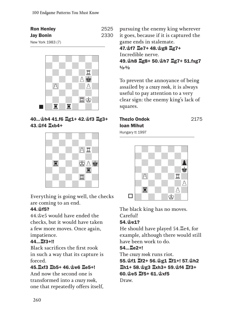| <b>Ron Henley</b> | 2525 |
|-------------------|------|
| <b>Jay Bonin</b>  | 2330 |
| New York 1983 (7) |      |



40...♔h4 41.f6 ♖g1+ 42.♔f3 ♖g3+ 43.♔f4 ♖xb4+



Everything is going well, the checks are coming to an end.

### 44.♔f5?

44.♔e5 would have ended the checks, but it would have taken a few more moves. Once again, impatience.

### 44...♖f3+!!

Black sacrifices the first rook in such a way that its capture is forced.

### 45.♖xf3 ♖b5+ 46.♔e6 ♖e5+!

And now the second one is transformed into a *crazy rook*, one that repeatedly offers itself, pursuing the enemy king wherever it goes, because if it is captured the game ends in stalemate.

47.♔f7 ♖e7+ 48.♔g8 ♖g7+ Incredible nerve. 49.♔h8 ♖g8+ 50.♔h7 ♖g7+ 51.fxg7  $1/2 - 1/2$ 

To prevent the annoyance of being assailed by a *crazy rook*, it is always useful to pay attention to a very clear sign: the enemy king's lack of squares.

# Thezlo Ondok 2175 Ioan Mihut

Hungary tt 1997



The black king has no moves. Careful!

# 54.♔e1?

He should have played 54.♖e4, for example, although there would still have been work to do.

### 54...♖e2+!

The *crazy rook* runs riot. 55.♔f1 ♖f2+ 56.♔g1 ♖f1+! 57.♔h2 ♖h1+ 58.♔g3 ♖xh3+ 59.♔f4 ♖f3+ 60.♔e5 ♖f5+ 61.♔xf5 Draw.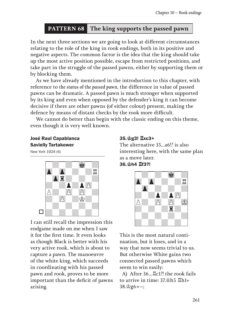# **PATTERN 68 The king supports the passed pawn**

In the next three sections we are going to look at different circumstances relating to the role of the king in rook endings, both in its positive and negative aspects. The common factor is the idea that the king should take up the most active position possible, escape from restricted positions, and take part in the struggle of the passed pawns, either by supporting them or by blocking them.

As we have already mentioned in the introduction to this chapter, with reference to *the status of the passed pawn*, the difference in value of passed pawns can be dramatic. A passed pawn is much stronger when supported by its king and even when opposed by the defender's king it can become decisive if there are other pawns (of either colour) present, making the defence by means of distant checks by the rook more difficult.

We cannot do better than begin with the classic ending on this theme, even though it is very well known.

#### José Raul Capablanca Savielly Tartakower

New York 1924 (6)



I can still recall the impression this endgame made on me when I saw it for the first time. It even looks as though Black is better with his very active rook, which is about to capture a pawn. The manoeuvre of the white king, which succeeds in coordinating with his passed pawn and rook, proves to be more important than the deficit of pawns arising.

#### 35.♔g3! ♖xc3+

The alternative 35...a6!? is also interesting here, with the same plan as a move later. 36.♔h4 ♖f3?!



This is the most natural continuation, but it loses, and in a way that now seems trivial to us. But otherwise White gains two connected passed pawns which seem to win easily:

A) After 36...♖c1?! the rook fails to arrive in time: 37.♔h5 ♖h1+  $38.\$ g $6+-;$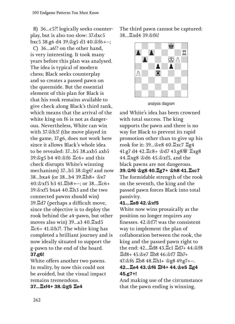B) 36...c5?! logically seeks counterplay, but is also too slow: 37.dxc5 bxc5 38.g6 d4 39.ෂ්g5 d3 40.ෂ් $f$ 6+–; C) 36...a6!? on the other hand, is very interesting. It took many years before this plan was analysed. The idea is typical of modern chess; Black seeks counterplay and so creates a passed pawn on the queenside. But the essential element of this plan for Black is that his rook remains available to give check along Black's third rank, which means that the arrival of the white king on f6 is not as dangerous. Nevertheless, White can win with 37.♔h5! *(*the move played in the game, 37.g6, does not work here since it allows Black's whole idea to be revealed: 37...b5 38.axb5 axb5 39.♔g5 b4 40.♔f6 ♖c6+ and this check disrupts White's winning mechanism) 37...b5 38.♔g6! and now 38...bxa4 (or 38...b4 39.♖h8+ ♔e7  $40.\&\text{x}f5 \& 41.\&\text{b}8+-: \text{or } 38...\&\text{c}6+$ 39.♔xf5 bxa4 40.♖h3 and the two connected pawns should win*)*  39.♖d7 (perhaps a difficult move, since the objective is to deploy the rook behind the a4-pawn, but other moves also win) 39...a3 40.♖xd5 ♖c6+ 41.♔h7!. The white king has completed a brilliant journey and is now ideally situated to support the g-pawn to the end of the board. 37.g6!

White offers another two pawns. In reality, by now this could not be avoided, but the visual impact remains tremendous.

37...♖xf4+ 38.♔g5 ♖e4

The third pawn cannot be captured: 38...♖xd4 39.♔f6!



analysis diagram

and White's idea has been crowned with total success. The king supports the pawn and there is no way for Black to prevent its rapid promotion other than to give up his rook for it: 39...♔e8 40.♖xc7 ♖g4 41.g7 d4 42.♖c8+ ♔d7 43.g8♕ ♖xg8 44.♖xg8 ♔d6 45.♔xf5, and the black pawns are not dangerous. 39.♔f6 ♔g8 40.♖g7+ ♔h8 41.♖xc7 The formidable strength of the rook on the seventh, the king and the passed pawn forces Black into total passivity.

#### 41...♖e8 42.♔xf5

White now wins prosaically as the position no longer requires any finesses. 42.♔f7! was the consistent way to implement the plan of collaboration between the rook, the king and the passed pawn right to the end: 42...♖d8 43.♖c1 ♖d7+ 44.♔f8 ♖d8+ 45.♔e7 ♖b8 46.♔f7 ♖b7+ 47. f6 国b8 48. 国h1+ 宫g8 49. g7+-. 42...♖e4 43.♔f6 ♖f4+ 44.♔e5 ♖g4 45.g7+!

And making use of the circumstance that the pawn ending is winning,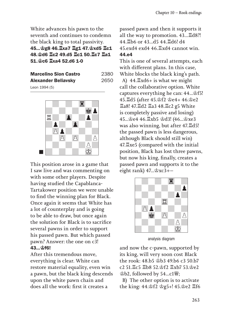White advances his pawn to the seventh and continues to condemn the black king to total passivity. 45...♔g8 46.♖xa7 ♖g1 47.♔xd5 ♖c1 48.♔d6 ♖c2 49.d5 ♖c1 50.♖c7 ♖a1 51.♔c6 ♖xa4 52.d6 1-0

| <b>Marcelino Sion Castro</b> | 2380 |
|------------------------------|------|
| <b>Alexander Beliavsky</b>   | 2650 |
| 1001(E)                      |      |

Leon 1994 (5)



This position arose in a game that I saw live and was commenting on with some other players. Despite having studied the Capablanca-Tartakower position we were unable to find the winning plan for Black. Once again it seems that White has a lot of counterplay and is going to be able to draw, but once again the solution for Black is to sacrifice several pawns in order to support his passed pawn. But which passed pawn? Answer: the one on c3! 43...♔f6!

After this tremendous move, everything is clear. White can restore material equality, even win a pawn, but the black king descends upon the white pawn chain and does all the work: first it creates a

passed pawn and then it supports it all the way to promotion. 43...♖d8?! 44.♖b6 or 43...d5 44.♖d6! d4 45.exd4 exd4 46.♖xd4 cannot win. 44.e4

This is one of several attempts, each with different plans. In this case, White blocks the black king's path. A) 44.♖xd6+ is what we might call the collaborative option. White captures everything he can: 44...♔f5! 45.♖d5 (after 45.♔f2 ♔e4+ 46.♔e2 ♖a8! 47.♖d2 ♖a3 48.♖c2 g5 White is completely passive and losing) 45...♔e4 46.♖xb5 ♔d3! (46...♔xe3 was also winning, but after 47.♖d5! the passed pawn is less dangerous, although Black should still win) 47.♖xe5 (compared with the initial position, Black has lost three pawns, but now his king, finally, creates a passed pawn and supports it to the eight rank)  $47 \ldots \circ xc3 + -$ 



analysis diagram

and now the c-pawn, supported by its king, will very soon cost Black the rook: 48.b5 ♔b3 49.b6 c3 50.b7 c2 51.♖c5 ♖b8 52.♔f2 ♖xb7 53.♔e2  $\&b2$ , followed by 54...c1 $\&b3$ ;

B) The other option is to activate the king: 44.♔f2 ♔g5+! 45.♔e2 ♖f6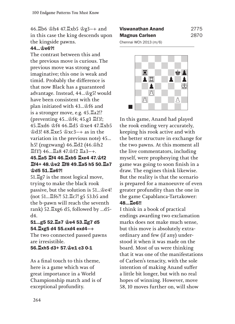46. b6 \$h4 47. kgb5 \$g3-+ and in this case the king descends upon the kingside pawns.

#### 44... \$e6?!

The contrast between this and the previous move is curious. The previous move was strong and imaginative; this one is weak and timid. Probably the difference is that now Black has a guaranteed advantage. Instead, 44...♔g5! would have been consistent with the plan initiated with 43...♔f6 and is a stronger move, e.g. 45.♖a2!? (preventing 45...♔f4; 45.g3 ♖f3!; 45.♖xd6 ♔f4 46.♖d5 ♔xe4 47.♖xb5  $\triangleq$ d3! 48. $\angle$ xe5  $\triangleq$ xc3-+ as in the variation in the previous note) 45... h5! (zugzwang) 46.♖d2 (46.♔h2 ♖f1!) 46...♖a8 47.♔f2 ♖a3. 45.♖a5 ♖f4 46.♖xb5 ♖xe4 47.♔f2 ♖f4+ 48.♔e2 ♖f8 49.♖a5 h5 50.♖a7 ♔d5 51.♖a6?!

51.♖g7 is the most logical move, trying to make the black rook passive, but the solution is 51...♔e4! (not 51...♖f6?! 52.♖c7! g5 53.b5 and the b-pawn will reach the seventh rank*)* 52.♖xg6 d5, followed by ...d5 d4.

#### 51...g5 52.♖a7 ♔e4 53.♖g7 d5 54.♖xg5 d4 55.cxd4 exd4

The two connected passed pawns are irresistible.

56.♖xh5 d3+ 57.♔e1 c3 0-1

As a final touch to this theme, here is a game which was of great importance in a World Championship match and is of exceptional profundity.

| Viswanathan Anand      | 2775 |
|------------------------|------|
| <b>Magnus Carlsen</b>  | 2870 |
| Chennai WCh 2013 (m/6) |      |

.\_.\_.\_.\_ *.\_.\_.\_.\_* \_.\_.\_.\_. *\_.\_.\_.\_.*  $\blacksquare$  $\blacksquare$  $\Delta$  , we set the set of  $\mathcal{L}$  $\Delta$ 

 $\Delta$   $\Delta$ \_.\_.\_.\_. *\_.\_.\_.\_.*

In this game, Anand had played the rook ending very accurately, keeping his rook active and with the better structure in exchange for the two pawns. At this moment all the live commentators, including myself, were prophesying that the game was going to soon finish in a draw. The engines think likewise. But the reality is that the scenario is prepared for a manoeuvre of even greater profundity than the one in the game Capablanca-Tartakower: 48...♖e6!!

I think in a book of practical endings awarding two exclamation marks does not make much sense, but this move is absolutely extraordinary and few (if any) understood it when it was made on the board. Most of us were thinking that it was one of the manifestations of Carlsen's tenacity, with the sole intention of making Anand suffer a little bit longer, but with no real hopes of winning. However, move 58, 10 moves further on, will show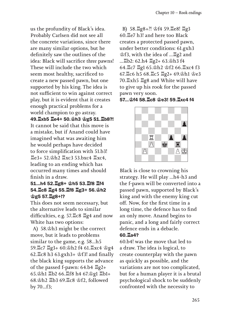us the profundity of Black's idea. Probably Carlsen did not see all the concrete variations, since there are many similar options, but he definitely saw the outlines of the idea: Black will sacrifice *three* pawns! These will include the two which seem most healthy, sacrificed to create a new passed pawn, but one supported by his king. The idea is not sufficient to win against correct play, but it is evident that it creates enough practical problems for a world champion to go astray. 49.♖xb5 ♖e4+ 50.♔h3 ♔g5 51.♖b8?! It cannot be said that this move is a mistake, but if Anand could have imagined what was awaiting him he would perhaps have decided to force simplification with 51.b3! ♖e3+ 52.♔h2 ♖xc3 53.bxc4 ♖xc4, leading to an ending which has occurred many times and should finish in a draw.

### 51...h4 52.♖g8+ ♔h5 53.♖f8 ♖f4 54.♖c8 ♖g4 55.♖f8 ♖g3+ 56.♔h2 ♔g5 57.♖g8+!?

This does not seem necessary, but the alternative leads to similar difficulties, e.g. 57.♖c8 ♖g4 and now White has two options:

A) 58.♔h3 might be the correct move, but it leads to problems similar to the game, e.g. 58...h5 59.♖c7 ♖g3+ 60.♔h2 f4 61.♖xc4 ♔g4 62.♖c8 h3 63.gxh3+ ♔f3! and finally the black king supports the advance of the passed f-pawn: 64.b4 ♖g2+ 65.♔h1 ♖b2 66.♖f8 h4 67.♔g1 ♖b1+ 68.♔h2 ♖b3 69.♖c8 ♔f2, followed by 70...f3;

B) 58.♖g8+?! ♔f4 59.♖e8! ♖g3 60.♖e7 h3! and here too Black creates a protected passed pawn, under better conditions: 61.gxh3 ♔f3, with the idea of ...♖g2 and ...♖b2: 62.h4 ♖g2+ 63.♔h3 f4 64.♖c7 ♖g1 65.♔h2 ♔f2 66.♖xc4 f3 67.♖c6 h5 68.♖c5 ♖g2+ 69.♔h1 ♔e3 70.♖xh5 ♖g8 and White will have to give up his rook for the passed pawn very soon.

#### 57...♔f4 58.♖c8 ♔e3! 59.♖xc4 f4



Black is close to crowning his strategy. He will play ...h4-h3 and the f-pawn will be converted into a passed pawn, supported by Black's king and with the enemy king cut off. Now, for the first time in a long time, the defence has to find an only move. Anand begins to panic, and a long and fairly correct defence ends in a debacle.

#### 60.♖a4?

60.b4! was the move that led to a draw. The idea is logical, to create counterplay with the pawn as quickly as possible, and the variations are not too complicated, but for a human player it is a brutal psychological shock to be suddenly confronted with the necessity to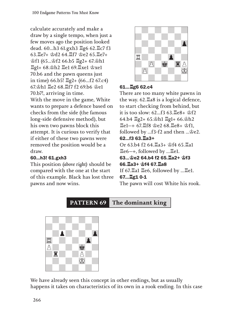calculate accurately and make a draw by a single tempo, when just a few moves ago the position looked dead. 60...h3 61.gxh3 ♖g6 62.♖c7 f3 63.♖e7+ ♔d2 64.♖f7 ♔e2 65.♖e7+ ♔f1 (65...♔f2 66.b5 ♖g2+ 67.♔h1 ♖g1+ 68.♔h2 ♖e1 69.♖xe1 ♔xe1 70.b6 and the pawn queens just in time) 66.b5! ♖g2+ (66...f2 67.c4) 67.♔h1 ♖e2 68.♖f7 f2 69.b6 ♔e1 70.b7!, arriving in time. With the move in the game, White wants to prepare a defence based on checks from the side (the famous long-side defensive method), but his own two pawns block this attempt. It is curious to verify that if either of these two pawns were removed the position would be a draw.

## 60...h3! 61.gxh3

This position *(above right)* should be compared with the one at the start of this example. Black has lost three pawns and now wins.



## 61...♖g6 62.c4

There are too many white pawns in the way. 62.♖a8 is a logical defence, to start checking from behind, but it is too slow: 62...f3 63.♖e8+ ♔f2 64.b4 ♖g2+ 65.♔h1 ♖g1+ 66.♔h2 ♖e1 67.♖f8 ♔e2 68.♖e8+ ♔f1, followed by ...f3-f2 and then ...♔e2. 62...f3 63.♖a3+ Or 63.b4 f2 64.♖a3+ ♔f4 65.♖a1 ♖e6, followed by ...♖e1. 63...♔e2 64.b4 f2 65.♖a2+ ♔f3 66.♖a3+ ♔f4 67.♖a8 If  $67.\overline{\mathbb{Z}}$ a1  $\overline{\mathbb{Z}}$ e6, followed by ... $\overline{\mathbb{Z}}$ e1. 67...♖g1 0-1 The pawn will cost White his rook.

**PATTERN 69 The dominant king**



We have already seen this concept in other endings, but as usually happens it takes on characteristics of its own in a rook ending. In this case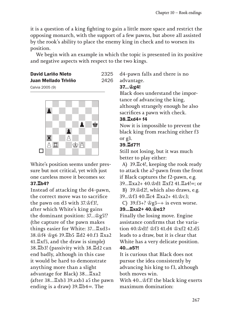it is a question of a king fighting to gain a little more space and restrict the opposing monarch, with the support of a few pawns, but above all assisted by the rook's ability to place the enemy king in check and to worsen its position.

We begin with an example in which the topic is presented in its positive and negative aspects with respect to the two kings.

#### David Lariño Nieto 2325 Juan Mellado Triviño 2426





White's position seems under pressure but not critical, yet with just one careless move it becomes so: 37.♖b4?

Instead of attacking the d4-pawn, the correct move was to sacrifice the pawn on d3 with 37.♔f3!, after which White's king gains the dominant position: 37...♔g5!? *(*the capture of the pawn makes things easier for White: 37...♖xd3+ 38.♔f4 ♔g6 39.♖b5 ♖d2 40.f3 ♖xa2 41.♖xf5*,* and the draw is simple*)*  38.♖b3! (passivity with 38.♖d2 can end badly, although in this case it would be hard to demonstrate anything more than a slight advantage for Black*)* 38...♖xa2 *(*after 38...♖xb3 39.axb3 a5 the pawn ending is a draw) 39. **Landing** is a draw) 39. **Landing** 

d4-pawn falls and there is no advantage.

## 37...♔g4!

Black does understand the importance of advancing the king, although strangely enough he also sacrifices a pawn with check.

### 38.♖xd4+ f4

Now it is impossible to prevent the black king from reaching either f3 or g3.

# 39.♖d7?!

Still not losing, but it was much better to play either:

A) 39.♖c4!, keeping the rook ready to attack the a7-pawn from the front if Black captures the f2-pawn, e.g.

39... ロxa2+ 40. 空d1 耳xf2 41. ロa4!=: or

B) 39.♔d2!, which also draws, e.g. 39...♔f3 40.♖c4 ♖xa2+ 41.♔c3;

C)  $39.13+?$   $\&g3-+$  is even worse.

# 39...♖xa2+ 40.♔e1?

Finally the losing move. Engine assistance confirms that the variation 40.♔d1! ♔f3 41.d4 ♔xf2 42.d5 leads to a draw, but it is clear that White has a very delicate position. 40...a5?!

It is curious that Black does not pursue the idea consistently by advancing his king to f3, although both moves win.

With 40...♔f3! the black king exerts maximum domination: